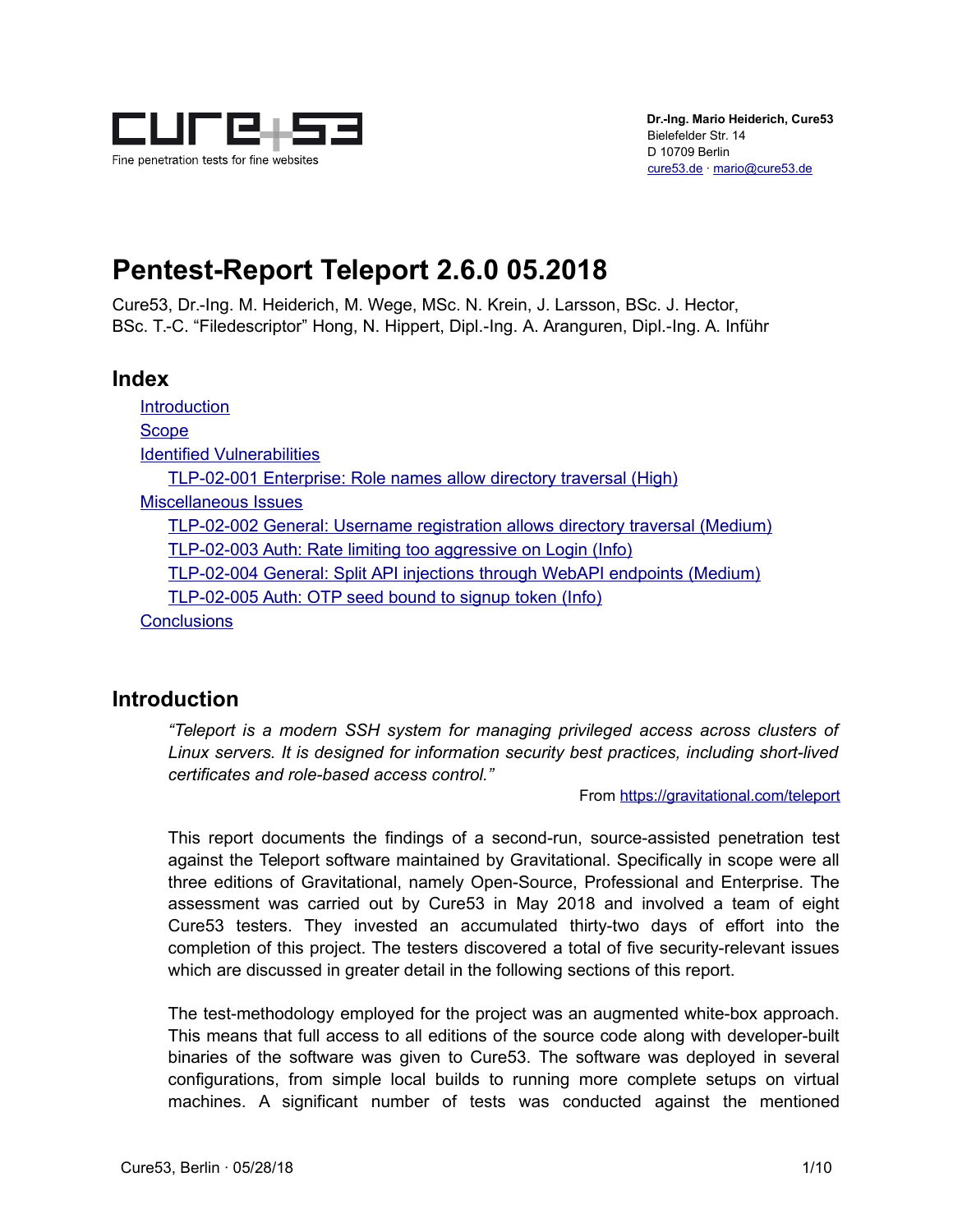

# **Pentest-Report Teleport 2.6.0 05.2018**

Cure53, Dr.-Ing. M. Heiderich, M. Wege, MSc. N. Krein, J. Larsson, BSc. J. Hector, BSc. T.-C. "Filedescriptor" Hong, N. Hippert, Dipl.-Ing. A. Aranguren, Dipl.-Ing. A. Inführ

# **Index**

**Introduction Scope** Identified Vulnerabilities TLP-02-001 Enterprise: Role names allow directory traversal (High) Miscellaneous Issues TLP-02-002 General: Username registration allows directory traversal (Medium) TLP-02-003 Auth: Rate limiting too aggressive on Login (Info) TLP-02-004 General: Split API injections through WebAPI endpoints (Medium) TLP-02-005 Auth: OTP seed bound to signup token (Info) **Conclusions** 

# **Introduction**

*"Teleport is a modern SSH system for managing privileged access across clusters of Linux servers. It is designed for information security best practices, including short-lived certificates and role-based access control."*

From https://gravitational.com/teleport

This report documents the findings of a second-run, source-assisted penetration test against the Teleport software maintained by Gravitational. Specifically in scope were all three editions of Gravitational, namely Open-Source, Professional and Enterprise. The assessment was carried out by Cure53 in May 2018 and involved a team of eight Cure53 testers. They invested an accumulated thirty-two days of effort into the completion of this project. The testers discovered a total of five security-relevant issues which are discussed in greater detail in the following sections of this report.

The test-methodology employed for the project was an augmented white-box approach. This means that full access to all editions of the source code along with developer-built binaries of the software was given to Cure53. The software was deployed in several configurations, from simple local builds to running more complete setups on virtual machines. A significant number of tests was conducted against the mentioned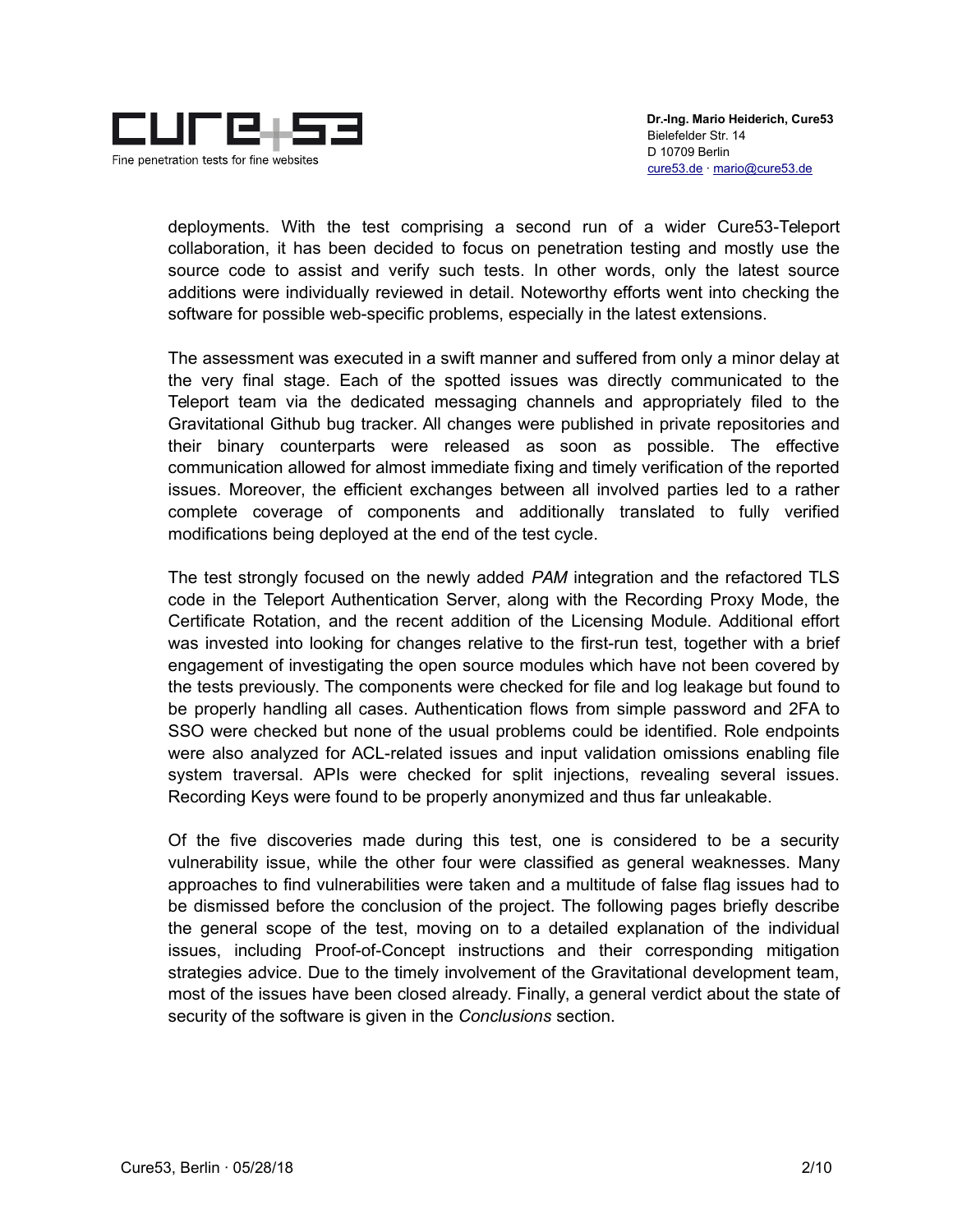

 **Dr.-Ing. Mario Heiderich, Cure53** Bielefelder Str. 14 D 10709 Berlin cure53.de · mario@cure53.de

deployments. With the test comprising a second run of a wider Cure53-Teleport collaboration, it has been decided to focus on penetration testing and mostly use the source code to assist and verify such tests. In other words, only the latest source additions were individually reviewed in detail. Noteworthy efforts went into checking the software for possible web-specific problems, especially in the latest extensions.

The assessment was executed in a swift manner and suffered from only a minor delay at the very final stage. Each of the spotted issues was directly communicated to the Teleport team via the dedicated messaging channels and appropriately filed to the Gravitational Github bug tracker. All changes were published in private repositories and their binary counterparts were released as soon as possible. The effective communication allowed for almost immediate fixing and timely verification of the reported issues. Moreover, the efficient exchanges between all involved parties led to a rather complete coverage of components and additionally translated to fully verified modifications being deployed at the end of the test cycle.

The test strongly focused on the newly added *PAM* integration and the refactored TLS code in the Teleport Authentication Server, along with the Recording Proxy Mode, the Certificate Rotation, and the recent addition of the Licensing Module. Additional effort was invested into looking for changes relative to the first-run test, together with a brief engagement of investigating the open source modules which have not been covered by the tests previously. The components were checked for file and log leakage but found to be properly handling all cases. Authentication flows from simple password and 2FA to SSO were checked but none of the usual problems could be identified. Role endpoints were also analyzed for ACL-related issues and input validation omissions enabling file system traversal. APIs were checked for split injections, revealing several issues. Recording Keys were found to be properly anonymized and thus far unleakable.

Of the five discoveries made during this test, one is considered to be a security vulnerability issue, while the other four were classified as general weaknesses. Many approaches to find vulnerabilities were taken and a multitude of false flag issues had to be dismissed before the conclusion of the project. The following pages briefly describe the general scope of the test, moving on to a detailed explanation of the individual issues, including Proof-of-Concept instructions and their corresponding mitigation strategies advice. Due to the timely involvement of the Gravitational development team, most of the issues have been closed already. Finally, a general verdict about the state of security of the software is given in the *Conclusions* section.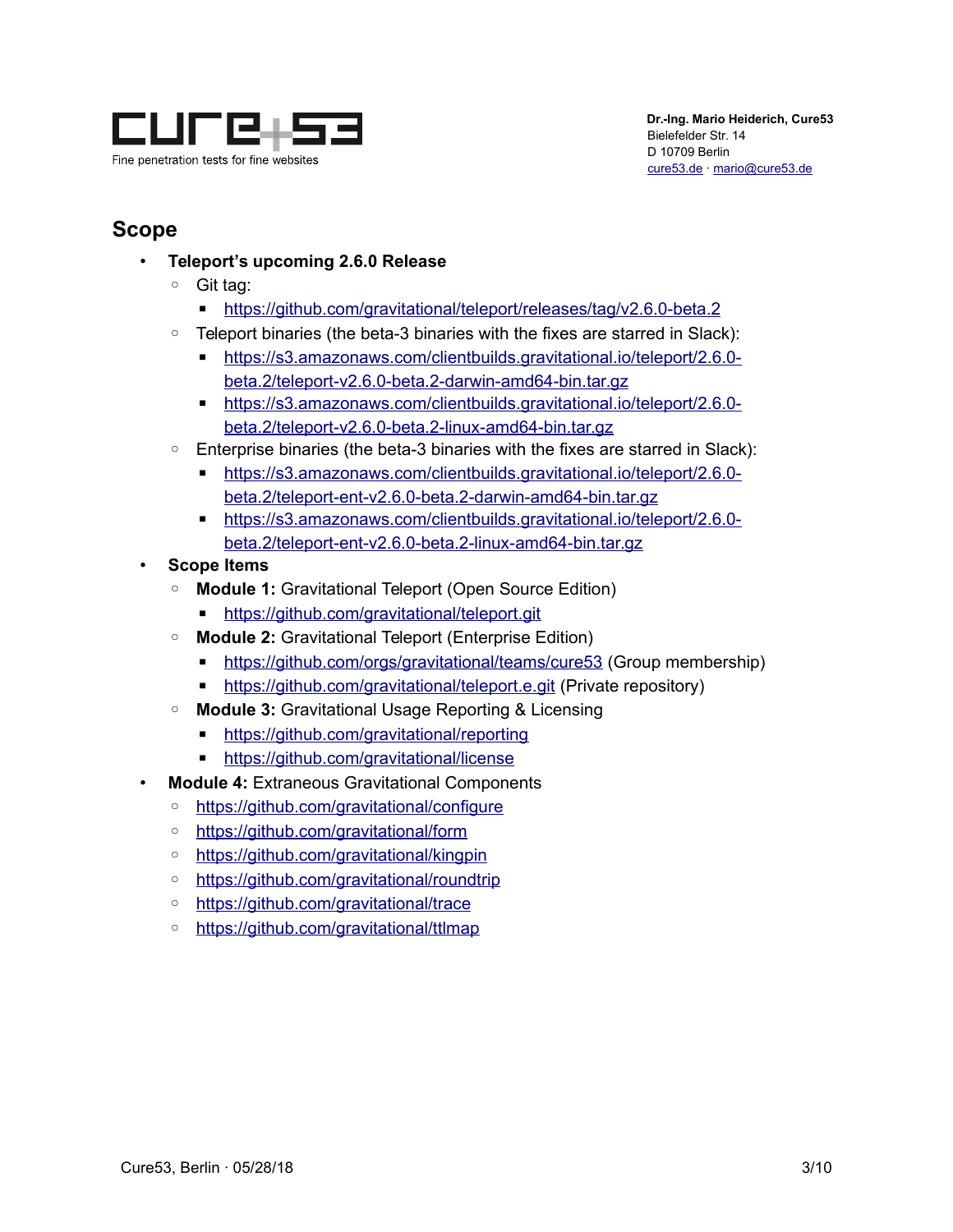

# **Scope**

- **Teleport's upcoming 2.6.0 Release**
	- Git tag:
		- https://github.com/gravitational/teleport/releases/tag/v2.6.0-beta.2
	- Teleport binaries (the beta-3 binaries with the fixes are starred in Slack):
		- https://s3.amazonaws.com/clientbuilds.gravitational.io/teleport/2.6.0 beta.2/teleport-v2.6.0-beta.2-darwin-amd64-bin.tar.gz
		- https://s3.amazonaws.com/clientbuilds.gravitational.io/teleport/2.6.0 beta.2/teleport-v2.6.0-beta.2-linux-amd64-bin.tar.gz
	- Enterprise binaries (the beta-3 binaries with the fixes are starred in Slack):
		- https://s3.amazonaws.com/clientbuilds.gravitational.io/teleport/2.6.0 beta.2/teleport-ent-v2.6.0-beta.2-darwin-amd64-bin.tar.gz
		- https://s3.amazonaws.com/clientbuilds.gravitational.io/teleport/2.6.0 beta.2/teleport-ent-v2.6.0-beta.2-linux-amd64-bin.tar.gz
- **Scope Items**
	- **Module 1:** Gravitational Teleport (Open Source Edition)
		- https://github.com/gravitational/teleport.git
	- **Module 2:** Gravitational Teleport (Enterprise Edition)
		- https://github.com/orgs/gravitational/teams/cure53 (Group membership)
		- https://github.com/gravitational/teleport.e.git (Private repository)
	- **Module 3:** Gravitational Usage Reporting & Licensing
		- https://github.com/gravitational/reporting
		- https://github.com/gravitational/license
- **Module 4:** Extraneous Gravitational Components
	- https://github.com/gravitational/configure
	- https://github.com/gravitational/form
	- https://github.com/gravitational/kingpin
	- https://github.com/gravitational/roundtrip
	- https://github.com/gravitational/trace
	- https://github.com/gravitational/ttlmap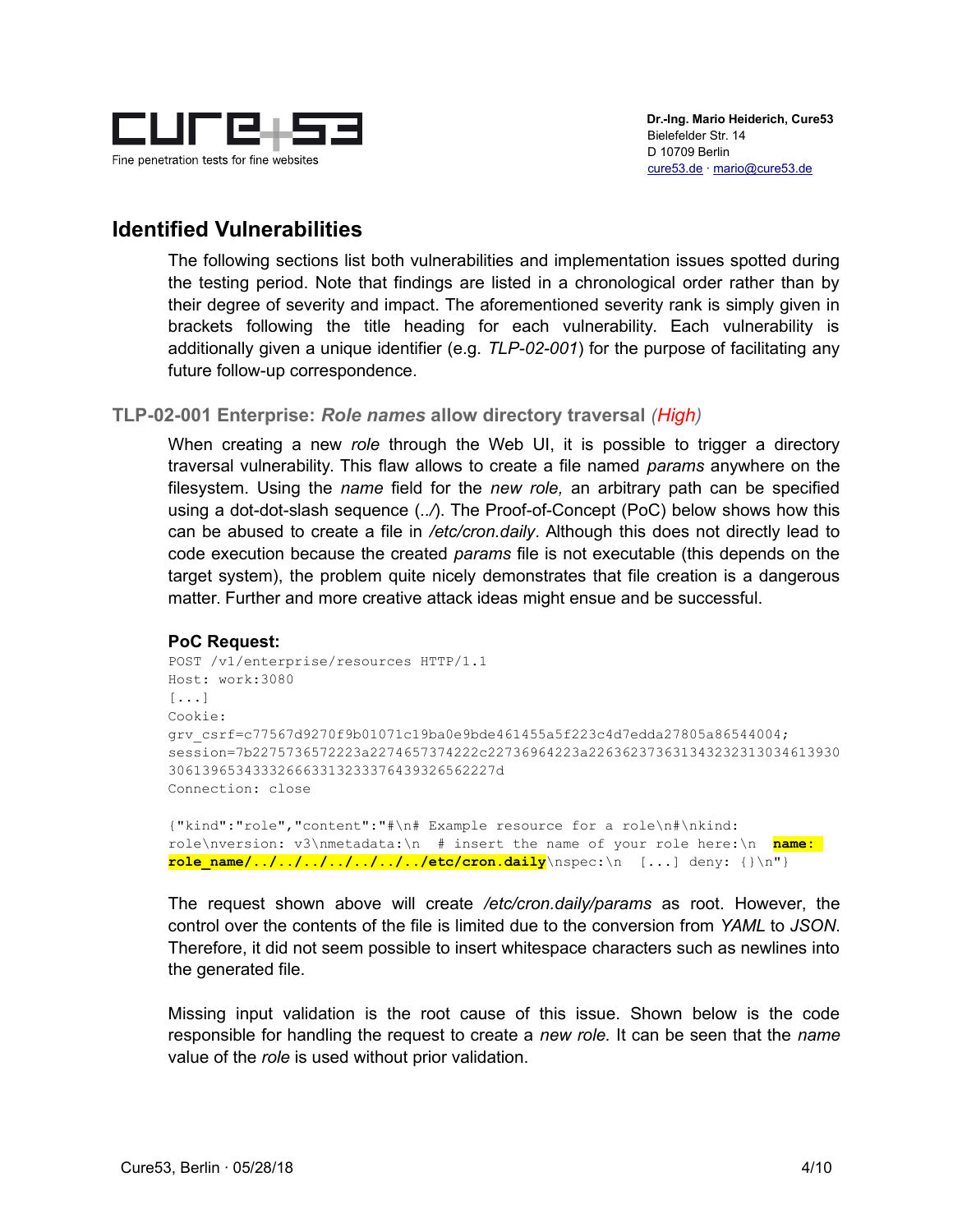

# **Identified Vulnerabilities**

The following sections list both vulnerabilities and implementation issues spotted during the testing period. Note that findings are listed in a chronological order rather than by their degree of severity and impact. The aforementioned severity rank is simply given in brackets following the title heading for each vulnerability. Each vulnerability is additionally given a unique identifier (e.g. *TLP-02-001*) for the purpose of facilitating any future follow-up correspondence.

## **TLP-02-001 Enterprise:** *Role names* **allow directory traversal** *(High)*

When creating a new *role* through the Web UI, it is possible to trigger a directory traversal vulnerability. This flaw allows to create a file named *params* anywhere on the filesystem. Using the *name* field for the *new role,* an arbitrary path can be specified using a dot-dot-slash sequence (*../*). The Proof-of-Concept (PoC) below shows how this can be abused to create a file in */etc/cron.daily*. Although this does not directly lead to code execution because the created *params* file is not executable (this depends on the target system), the problem quite nicely demonstrates that file creation is a dangerous matter. Further and more creative attack ideas might ensue and be successful.

#### **PoC Request:**

```
POST /v1/enterprise/resources HTTP/1.1
Host: work:3080
[...]Cookie: 
grv_csrf=c77567d9270f9b01071c19ba0e9bde461455a5f223c4d7edda27805a86544004; 
session=7b2275736572223a2274657374222c22736964223a226362373631343232313034613930
306139653433326663313233376439326562227d
Connection: close
```
{"kind":"role","content":"#\n# Example resource for a role\n#\nkind: role\nversion: v3\nmetadata:\n # insert the name of your role here:\n **name: role\_name/../../../../../../etc/cron.daily**\nspec:\n [...] deny: {}\n"}

The request shown above will create */etc/cron.daily/params* as root. However, the control over the contents of the file is limited due to the conversion from *YAML* to *JSON*. Therefore, it did not seem possible to insert whitespace characters such as newlines into the generated file.

Missing input validation is the root cause of this issue. Shown below is the code responsible for handling the request to create a *new role.* It can be seen that the *name* value of the *role* is used without prior validation.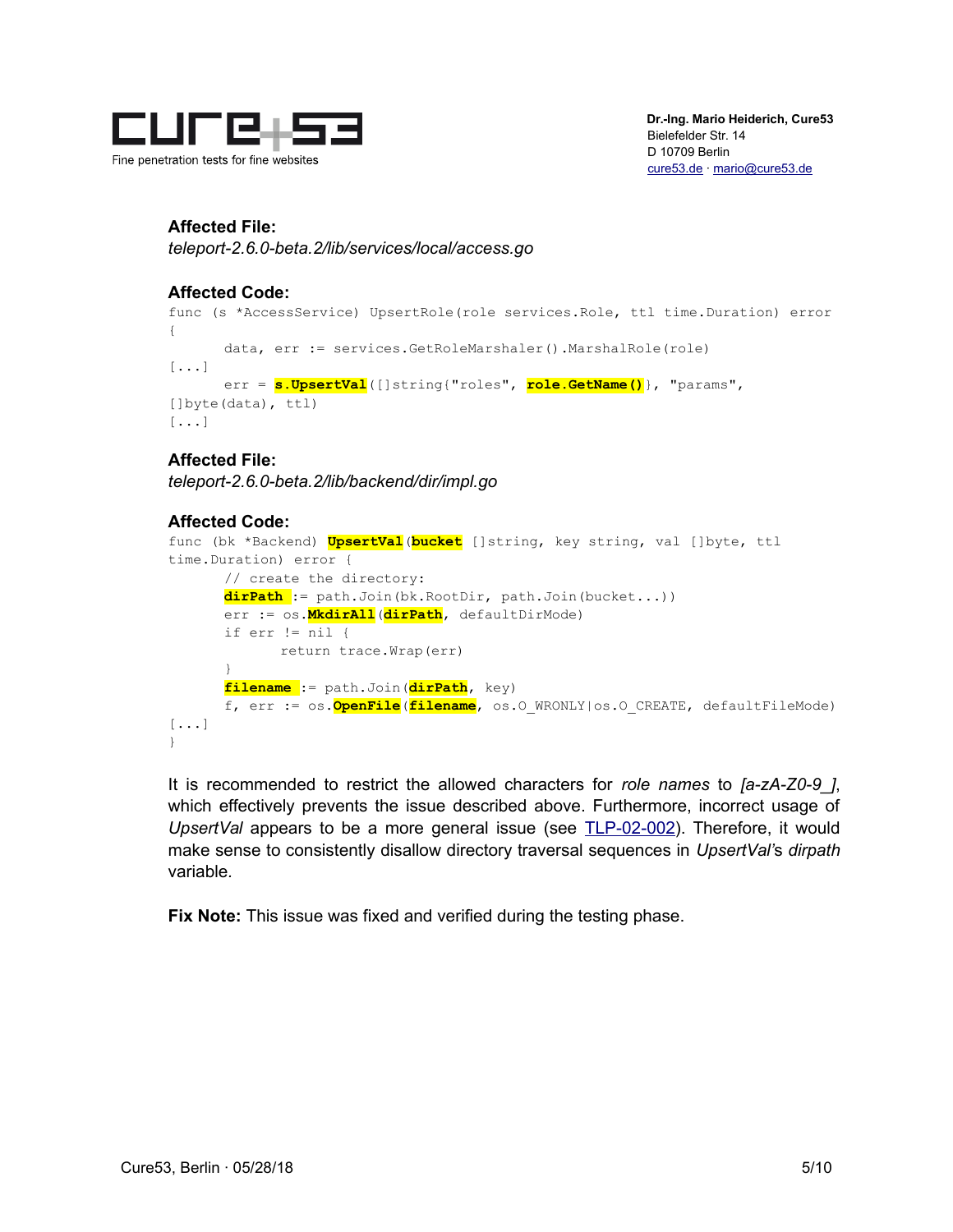

 **Dr.-Ing. Mario Heiderich, Cure53** Bielefelder Str. 14 D 10709 Berlin cure53.de · mario@cure53.de

## **Affected File:**

*teleport-2.6.0-beta.2/lib/services/local/access.go*

#### **Affected Code:**

```
func (s *AccessService) UpsertRole(role services.Role, ttl time.Duration) error
{
      data, err := services.GetRoleMarshaler().MarshalRole(role)
[\ldots]err = s.UpsertVal([]string{"roles", role.GetName()}, "params", 
[]byte(data), ttl)
[\ldots]
```
#### **Affected File:**

*teleport-2.6.0-beta.2/lib/backend/dir/impl.go*

#### **Affected Code:**

```
func (bk *Backend) UpsertVal(bucket []string, key string, val []byte, ttl 
time.Duration) error {
      // create the directory:
      dirPath := path.Join(bk.RootDir, path.Join(bucket...))
      err := os.MkdirAll(dirPath, defaultDirMode)
      if err != nil {
             return trace.Wrap(err)
      }
      filename := path.Join(dirPath, key)
      f, err := os.OpenFile(filename, os.O_WRONLY|os.O_CREATE, defaultFileMode)
[...]
}
```
It is recommended to restrict the allowed characters for *role names* to *[a-zA-Z0-9\_]*, which effectively prevents the issue described above. Furthermore, incorrect usage of *UpsertVal* appears to be a more general issue (see TLP-02-002). Therefore, it would make sense to consistently disallow directory traversal sequences in *UpsertVal'*s *dirpath* variable*.*

**Fix Note:** This issue was fixed and verified during the testing phase.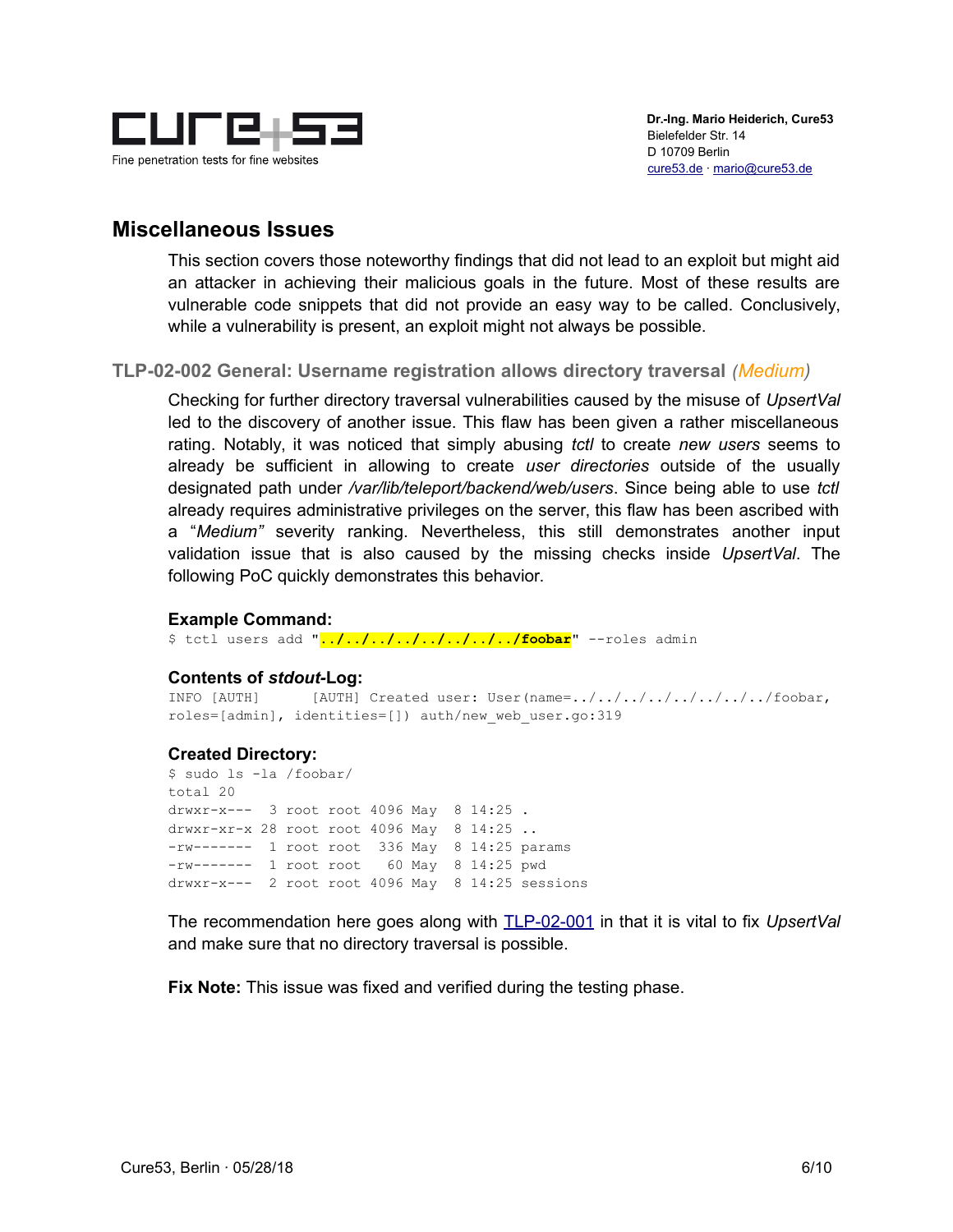

# **Miscellaneous Issues**

This section covers those noteworthy findings that did not lead to an exploit but might aid an attacker in achieving their malicious goals in the future. Most of these results are vulnerable code snippets that did not provide an easy way to be called. Conclusively, while a vulnerability is present, an exploit might not always be possible.

## **TLP-02-002 General: Username registration allows directory traversal** *(Medium)*

Checking for further directory traversal vulnerabilities caused by the misuse of *UpsertVal* led to the discovery of another issue. This flaw has been given a rather miscellaneous rating. Notably, it was noticed that simply abusing *tctl* to create *new users* seems to already be sufficient in allowing to create *user directories* outside of the usually designated path under */var/lib/teleport/backend/web/users*. Since being able to use *tctl* already requires administrative privileges on the server, this flaw has been ascribed with a "*Medium"* severity ranking. Nevertheless, this still demonstrates another input validation issue that is also caused by the missing checks inside *UpsertVal*. The following PoC quickly demonstrates this behavior.

#### **Example Command:**

\$ tctl users add "**../../../../../../../../foobar**" --roles admin

#### **Contents of** *stdout-***Log:**

INFO [AUTH] [AUTH] Created user: User(name=../../../../../../../../foobar, roles=[admin], identities=[]) auth/new\_web\_user.go:319

#### **Created Directory:**

\$ sudo ls -la /foobar/ total 20 drwxr-x--- 3 root root 4096 May 8 14:25 . drwxr-xr-x 28 root root 4096 May 8 14:25 .. -rw------- 1 root root 336 May 8 14:25 params -rw------- 1 root root 60 May 8 14:25 pwd drwxr-x--- 2 root root 4096 May 8 14:25 sessions

The recommendation here goes along with TLP-02-001 in that it is vital to fix *UpsertVal* and make sure that no directory traversal is possible.

**Fix Note:** This issue was fixed and verified during the testing phase.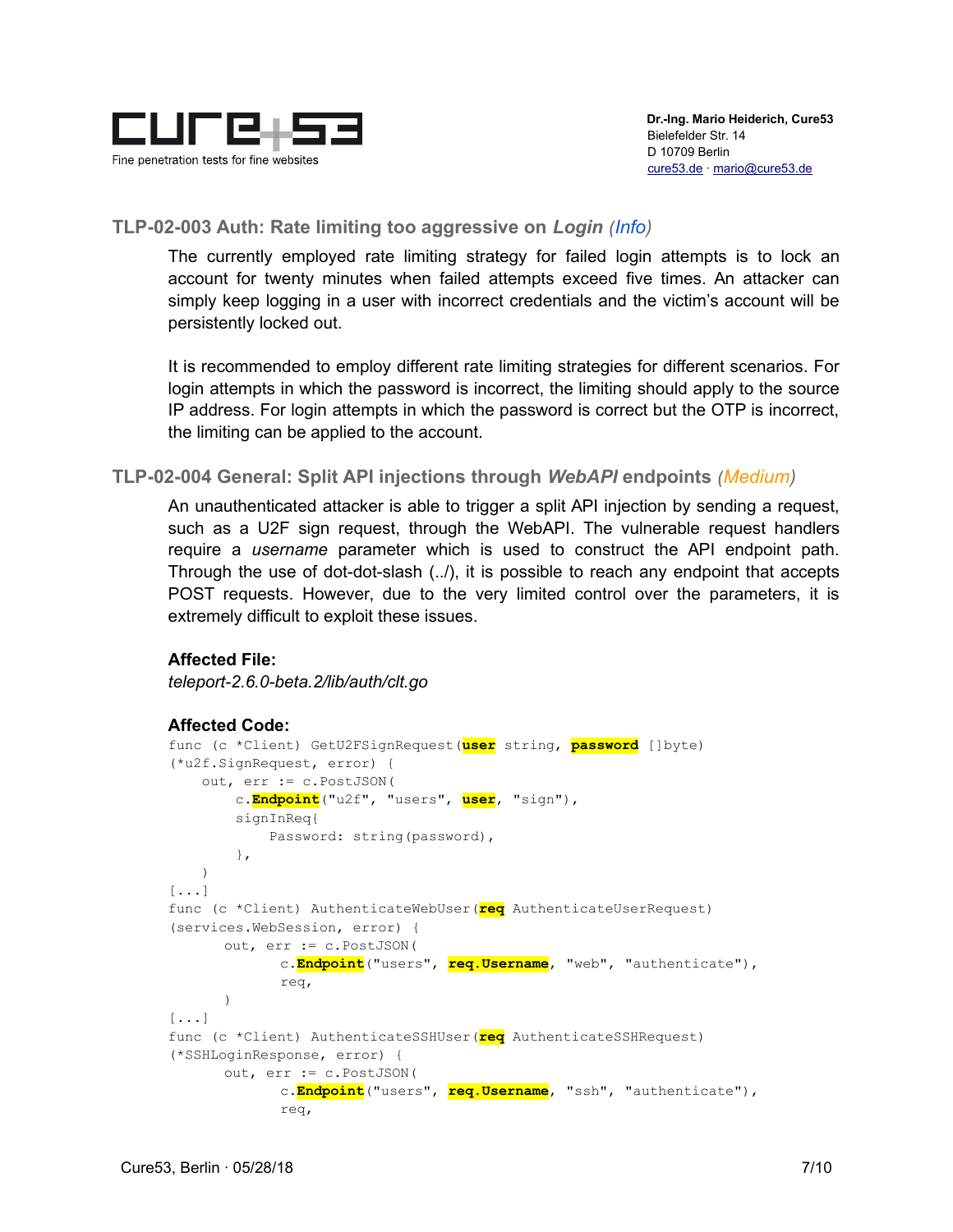

## **TLP-02-003 Auth: Rate limiting too aggressive on** *Login (Info)*

The currently employed rate limiting strategy for failed login attempts is to lock an account for twenty minutes when failed attempts exceed five times. An attacker can simply keep logging in a user with incorrect credentials and the victim's account will be persistently locked out.

It is recommended to employ different rate limiting strategies for different scenarios. For login attempts in which the password is incorrect, the limiting should apply to the source IP address. For login attempts in which the password is correct but the OTP is incorrect, the limiting can be applied to the account.

## **TLP-02-004 General: Split API injections through** *WebAPI* **endpoints** *(Medium)*

An unauthenticated attacker is able to trigger a split API injection by sending a request, such as a U2F sign request, through the WebAPI. The vulnerable request handlers require a *username* parameter which is used to construct the API endpoint path. Through the use of dot-dot-slash (../), it is possible to reach any endpoint that accepts POST requests. However, due to the very limited control over the parameters, it is extremely difficult to exploit these issues.

#### **Affected File:**

*teleport-2.6.0-beta.2/lib/auth/clt.go*

#### **Affected Code:**

```
func (c *Client) GetU2FSignRequest(user string, password []byte) 
(*u2f.SignRequest, error) {
    out, err := c.PostJSON(
        c.Endpoint("u2f", "users", user, "sign"),
         signInReq{
            Password: string(password),
        },
    )
[...]
func (c *Client) AuthenticateWebUser(req AuthenticateUserRequest) 
(services.WebSession, error) {
      out, err := c.PostJSON(
             c.Endpoint("users", req.Username, "web", "authenticate"),
             req,
      )
[...]
func (c *Client) AuthenticateSSHUser(req AuthenticateSSHRequest) 
(*SSHLoginResponse, error) {
      out, err := c.PostJSON(
             c.Endpoint("users", req.Username, "ssh", "authenticate"),
             req,
```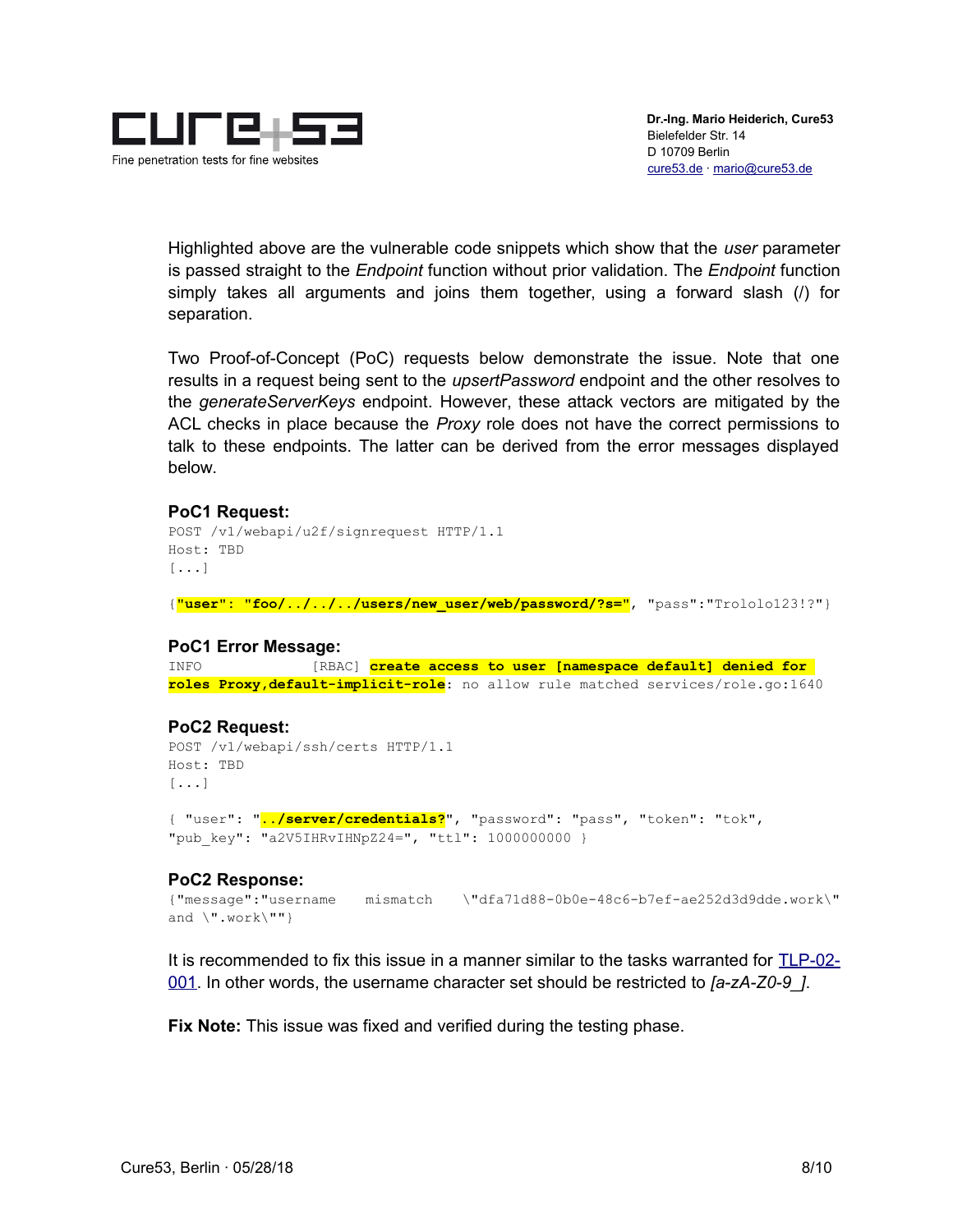

Highlighted above are the vulnerable code snippets which show that the *user* parameter is passed straight to the *Endpoint* function without prior validation. The *Endpoint* function simply takes all arguments and joins them together, using a forward slash (/) for separation.

Two Proof-of-Concept (PoC) requests below demonstrate the issue. Note that one results in a request being sent to the *upsertPassword* endpoint and the other resolves to the *generateServerKeys* endpoint. However, these attack vectors are mitigated by the ACL checks in place because the *Proxy* role does not have the correct permissions to talk to these endpoints. The latter can be derived from the error messages displayed below.

#### **PoC1 Request:**

```
POST /v1/webapi/u2f/signrequest HTTP/1.1
Host: TBD
[...]
```
{**"user": "foo/../../../users/new\_user/web/password/?s="**, "pass":"Trololo123!?"}

#### **PoC1 Error Message:**

INFO [RBAC] **create access to user [namespace default] denied for roles Proxy,default-implicit-role**: no allow rule matched services/role.go:1640

#### **PoC2 Request:**

```
POST /v1/webapi/ssh/certs HTTP/1.1
Host: TBD
[\ldots]
```

```
{ "user": "../server/credentials?", "password": "pass", "token": "tok", 
"pub_key": "a2V5IHRvIHNpZ24=", "ttl": 1000000000 }
```
#### **PoC2 Response:**

```
{"message":"username mismatch \"dfa71d88-0b0e-48c6-b7ef-ae252d3d9dde.work\"
and \forall".work\forall""}
```
It is recommended to fix this issue in a manner similar to the tasks warranted for TLP-02- 001. In other words, the username character set should be restricted to *[a-zA-Z0-9\_]*.

**Fix Note:** This issue was fixed and verified during the testing phase.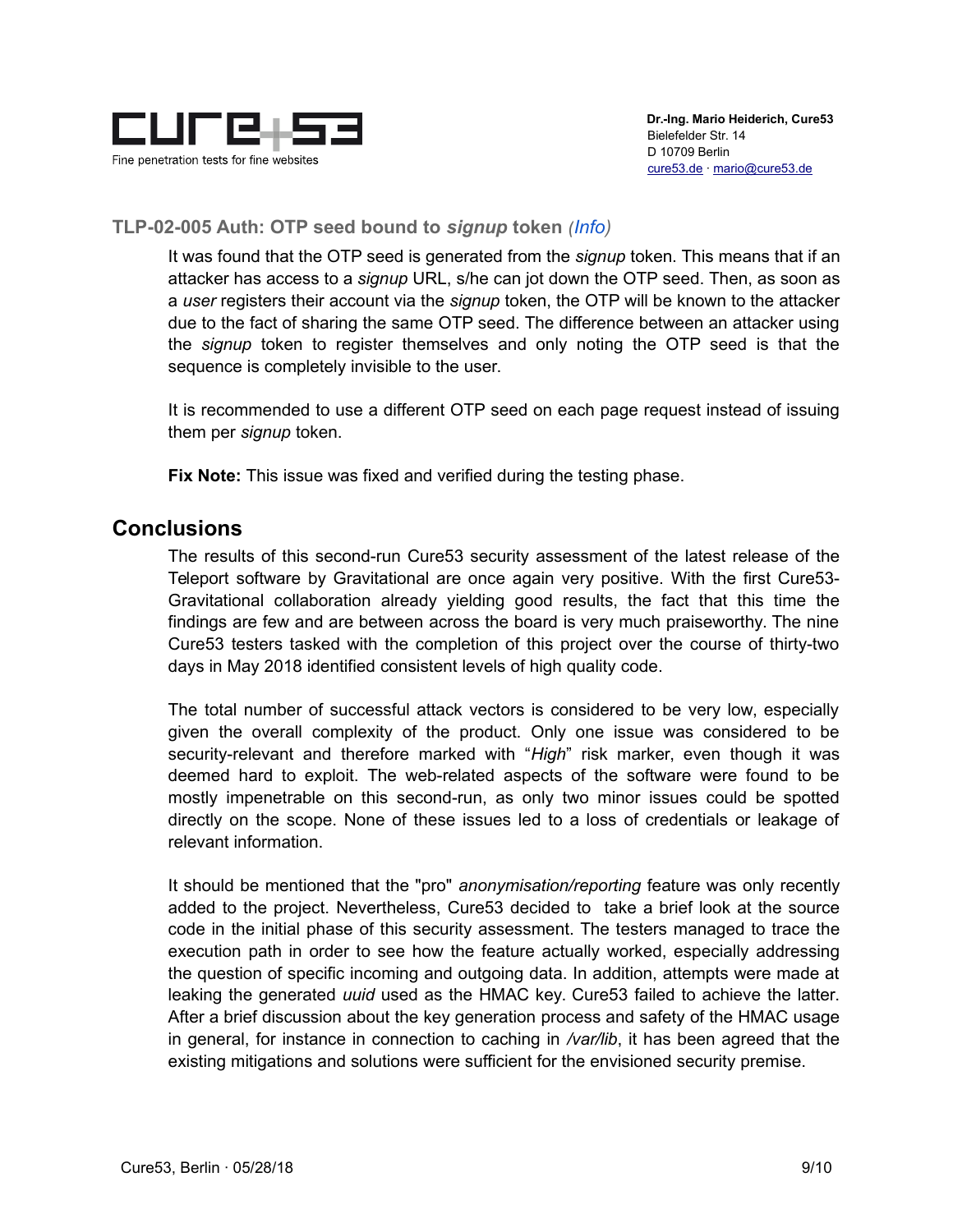

#### **TLP-02-005 Auth: OTP seed bound to** *signup* **token** *(Info)*

It was found that the OTP seed is generated from the *signup* token. This means that if an attacker has access to a *signup* URL, s/he can jot down the OTP seed. Then, as soon as a *user* registers their account via the *signup* token, the OTP will be known to the attacker due to the fact of sharing the same OTP seed. The difference between an attacker using the *signup* token to register themselves and only noting the OTP seed is that the sequence is completely invisible to the user.

It is recommended to use a different OTP seed on each page request instead of issuing them per *signup* token.

**Fix Note:** This issue was fixed and verified during the testing phase.

## **Conclusions**

The results of this second-run Cure53 security assessment of the latest release of the Teleport software by Gravitational are once again very positive. With the first Cure53- Gravitational collaboration already yielding good results, the fact that this time the findings are few and are between across the board is very much praiseworthy. The nine Cure53 testers tasked with the completion of this project over the course of thirty-two days in May 2018 identified consistent levels of high quality code.

The total number of successful attack vectors is considered to be very low, especially given the overall complexity of the product. Only one issue was considered to be security-relevant and therefore marked with "*High*" risk marker, even though it was deemed hard to exploit. The web-related aspects of the software were found to be mostly impenetrable on this second-run, as only two minor issues could be spotted directly on the scope. None of these issues led to a loss of credentials or leakage of relevant information.

It should be mentioned that the "pro" *anonymisation/reporting* feature was only recently added to the project. Nevertheless, Cure53 decided to take a brief look at the source code in the initial phase of this security assessment. The testers managed to trace the execution path in order to see how the feature actually worked, especially addressing the question of specific incoming and outgoing data. In addition, attempts were made at leaking the generated *uuid* used as the HMAC key. Cure53 failed to achieve the latter. After a brief discussion about the key generation process and safety of the HMAC usage in general, for instance in connection to caching in */var/lib*, it has been agreed that the existing mitigations and solutions were sufficient for the envisioned security premise.